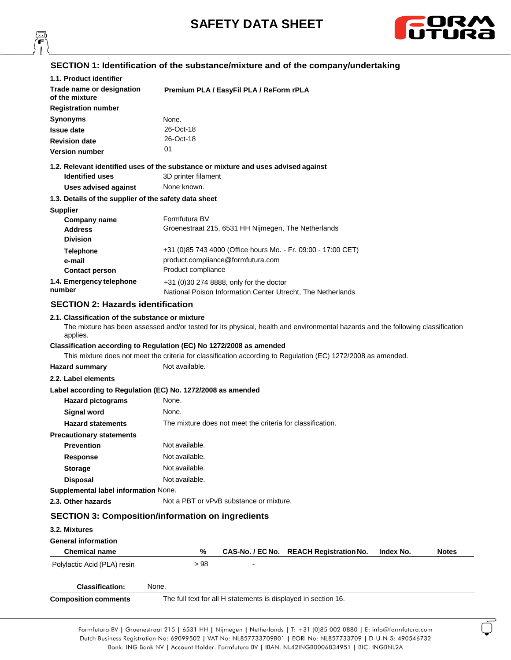# **SAFETY DATA SHEET**



# **SECTION 1: Identification of the substance/mixture and of the company/undertaking**

| 1.1. Product identifier<br>Trade name or designation<br>of the mixture<br><b>Registration number</b> | Premium PLA / EasyFil PLA / ReForm rPLA                                                                                                                                              |
|------------------------------------------------------------------------------------------------------|--------------------------------------------------------------------------------------------------------------------------------------------------------------------------------------|
| <b>Synonyms</b>                                                                                      | None.                                                                                                                                                                                |
| <b>Issue date</b>                                                                                    | 26-Oct-18                                                                                                                                                                            |
| <b>Revision date</b>                                                                                 | 26-Oct-18                                                                                                                                                                            |
| <b>Version number</b>                                                                                | 01                                                                                                                                                                                   |
| <b>Identified uses</b>                                                                               | 1.2. Relevant identified uses of the substance or mixture and uses advised against<br>3D printer filament                                                                            |
| <b>Uses advised against</b>                                                                          | None known.                                                                                                                                                                          |
| 1.3. Details of the supplier of the safety data sheet                                                |                                                                                                                                                                                      |
| <b>Supplier</b>                                                                                      |                                                                                                                                                                                      |
| <b>Company name</b><br><b>Address</b><br><b>Division</b>                                             | Formfutura BV<br>Groenestraat 215, 6531 HH Nijmegen, The Netherlands                                                                                                                 |
| <b>Telephone</b><br>e-mail<br><b>Contact person</b>                                                  | +31 (0)85 743 4000 (Office hours Mo. - Fr. 09:00 - 17:00 CET)<br>product.compliance@formfutura.com<br>Product compliance                                                             |
| 1.4. Emergency telephone<br>number                                                                   | +31 (0)30 274 8888, only for the doctor<br>National Poison Information Center Utrecht, The Netherlands                                                                               |
| <b>SECTION 2: Hazards identification</b>                                                             |                                                                                                                                                                                      |
| 2.1. Classification of the substance or mixture<br>applies.                                          | The mixture has been assessed and/or tested for its physical, health and environmental hazards and the following classification                                                      |
|                                                                                                      | Classification according to Regulation (EC) No 1272/2008 as amended<br>This mixture does not meet the criteria for classification according to Regulation (EC) 1272/2008 as amended. |
| <b>Hazard summary</b>                                                                                | Not available.                                                                                                                                                                       |
| 2.2. Label elements                                                                                  |                                                                                                                                                                                      |
| Label according to Regulation (EC) No. 1272/2008 as amended                                          |                                                                                                                                                                                      |
| <b>Hazard pictograms</b>                                                                             | None.                                                                                                                                                                                |
| Signal word                                                                                          | None.                                                                                                                                                                                |
| <b>Hazard statements</b>                                                                             | The mixture does not meet the criteria for classification.                                                                                                                           |
| <b>Precautionary statements</b><br><b>Prevention</b>                                                 | Not available.                                                                                                                                                                       |
| <b>Response</b>                                                                                      | Not available.                                                                                                                                                                       |
| <b>Storage</b>                                                                                       | Not available.                                                                                                                                                                       |
| <b>Disposal</b>                                                                                      | Not available.                                                                                                                                                                       |
| Supplemental label information None.                                                                 |                                                                                                                                                                                      |
| 2.3. Other hazards                                                                                   | Not a PBT or vPvB substance or mixture.                                                                                                                                              |
|                                                                                                      | <b>SECTION 3: Composition/information on ingredients</b>                                                                                                                             |
| 3.2. Mixtures                                                                                        |                                                                                                                                                                                      |
| <b>General information</b>                                                                           |                                                                                                                                                                                      |
| <b>Chemical name</b>                                                                                 | %<br>CAS-No. / EC No. REACH Registration No.<br>Index No.<br><b>Notes</b>                                                                                                            |
| Polylactic Acid (PLA) resin                                                                          | >98                                                                                                                                                                                  |
| <b>Classification:</b><br>None.                                                                      |                                                                                                                                                                                      |
| <b>Composition comments</b>                                                                          | The full text for all H statements is displayed in section 16.                                                                                                                       |

Formfutura BV | Groenestraat 215 | 6531 HH | Nijmegen | Netherlands | T: +31 (0)85 002 0880 | E: info@formfutura.com Dutch Business Registration No: 69099502 | VAT No: NL857733709B01 | EORI No: NL857733709 | D-U-N-S: 490546732 Bank: ING Bank NV | Account Holder: Formfutura BV | IBAN: NL42INGB0006834951 | BIC: INGBNL2A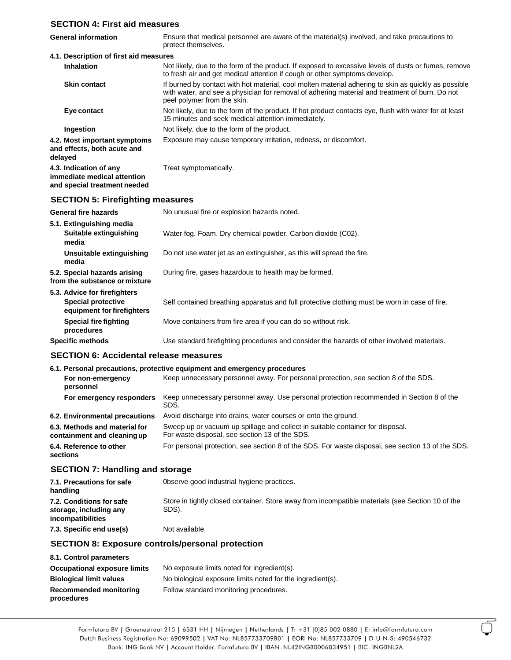# **SECTION 4: First aid measures**

| <b>General information</b>                                                            | Ensure that medical personnel are aware of the material(s) involved, and take precautions to<br>protect themselves.                                                                                                                   |
|---------------------------------------------------------------------------------------|---------------------------------------------------------------------------------------------------------------------------------------------------------------------------------------------------------------------------------------|
| 4.1. Description of first aid measures                                                |                                                                                                                                                                                                                                       |
| <b>Inhalation</b>                                                                     | Not likely, due to the form of the product. If exposed to excessive levels of dusts or fumes, remove<br>to fresh air and get medical attention if cough or other symptoms develop.                                                    |
| <b>Skin contact</b>                                                                   | If burned by contact with hot material, cool molten material adhering to skin as quickly as possible<br>with water, and see a physician for removal of adhering material and treatment of burn. Do not<br>peel polymer from the skin. |
| Eye contact                                                                           | Not likely, due to the form of the product. If hot product contacts eye, flush with water for at least<br>15 minutes and seek medical attention immediately.                                                                          |
| Ingestion                                                                             | Not likely, due to the form of the product.                                                                                                                                                                                           |
| 4.2. Most important symptoms<br>and effects, both acute and<br>delayed                | Exposure may cause temporary irritation, redness, or discomfort.                                                                                                                                                                      |
| 4.3. Indication of any<br>immediate medical attention<br>and special treatment needed | Treat symptomatically.                                                                                                                                                                                                                |
| <b>SECTION 5: Firefighting measures</b>                                               |                                                                                                                                                                                                                                       |
| <b>General fire hazards</b>                                                           | No unusual fire or explosion hazards noted.                                                                                                                                                                                           |
|                                                                                       |                                                                                                                                                                                                                                       |

| 5.1. Extinguishing media<br>Suitable extinguishing<br>media                      | Water fog. Foam. Dry chemical powder. Carbon dioxide (C02).                                   |
|----------------------------------------------------------------------------------|-----------------------------------------------------------------------------------------------|
| Unsuitable extinguishing<br>media                                                | Do not use water jet as an extinguisher, as this will spread the fire.                        |
| 5.2. Special hazards arising<br>from the substance or mixture                    | During fire, gases hazardous to health may be formed.                                         |
| 5.3. Advice for firefighters<br>Special protective<br>equipment for firefighters | Self contained breathing apparatus and full protective clothing must be worn in case of fire. |
| Special fire fighting<br>procedures                                              | Move containers from fire area if you can do so without risk.                                 |
| <b>Specific methods</b>                                                          | Use standard firefighting procedures and consider the hazards of other involved materials.    |

### **SECTION 6: Accidental release measures**

|                                                              | 6.1. Personal precautions, protective equipment and emergency procedures                                                         |
|--------------------------------------------------------------|----------------------------------------------------------------------------------------------------------------------------------|
| For non-emergency<br>personnel                               | Keep unnecessary personnel away. For personal protection, see section 8 of the SDS.                                              |
| For emergency responders                                     | Keep unnecessary personnel away. Use personal protection recommended in Section 8 of the<br>SDS.                                 |
| 6.2. Environmental precautions                               | Avoid discharge into drains, water courses or onto the ground.                                                                   |
| 6.3. Methods and material for<br>containment and cleaning up | Sweep up or vacuum up spillage and collect in suitable container for disposal.<br>For waste disposal, see section 13 of the SDS. |
| 6.4. Reference to other<br>sections                          | For personal protection, see section 8 of the SDS. For waste disposal, see section 13 of the SDS.                                |

# **SECTION 7: Handling and storage**

| 7.1. Precautions for safe<br>handling                                   | Observe good industrial hygiene practices.                                                                |
|-------------------------------------------------------------------------|-----------------------------------------------------------------------------------------------------------|
| 7.2. Conditions for safe<br>storage, including any<br>incompatibilities | Store in tightly closed container. Store away from incompatible materials (see Section 10 of the<br>SDS). |
| 7.3. Specific end use(s)                                                | Not available.                                                                                            |

### **SECTION 8: Exposure controls/personal protection**

| 8.1. Control parameters                     |                                                            |
|---------------------------------------------|------------------------------------------------------------|
| Occupational exposure limits                | No exposure limits noted for ingredient(s).                |
| <b>Biological limit values</b>              | No biological exposure limits noted for the ingredient(s). |
| <b>Recommended monitoring</b><br>procedures | Follow standard monitoring procedures.                     |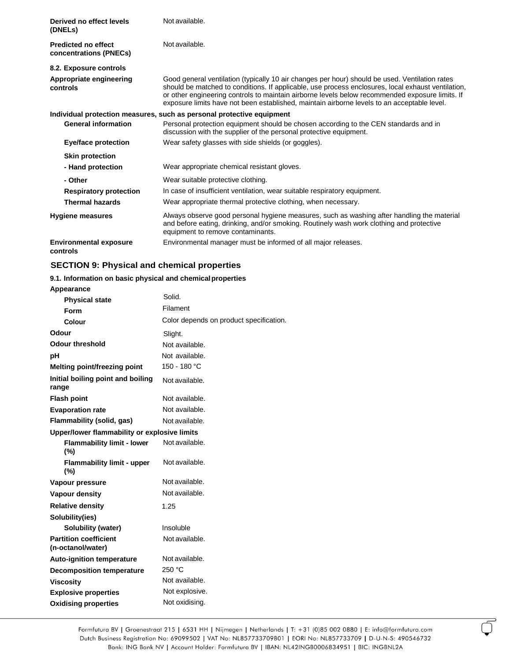| Derived no effect levels<br>(DNELs)                                   | Not available.                                                                                                                                                                                                                                                                                                                                                                                         |  |
|-----------------------------------------------------------------------|--------------------------------------------------------------------------------------------------------------------------------------------------------------------------------------------------------------------------------------------------------------------------------------------------------------------------------------------------------------------------------------------------------|--|
| <b>Predicted no effect</b><br>concentrations (PNECs)                  | Not available.                                                                                                                                                                                                                                                                                                                                                                                         |  |
| 8.2. Exposure controls                                                |                                                                                                                                                                                                                                                                                                                                                                                                        |  |
| Appropriate engineering<br>controls                                   | Good general ventilation (typically 10 air changes per hour) should be used. Ventilation rates<br>should be matched to conditions. If applicable, use process enclosures, local exhaust ventilation,<br>or other engineering controls to maintain airborne levels below recommended exposure limits. If<br>exposure limits have not been established, maintain airborne levels to an acceptable level. |  |
| Individual protection measures, such as personal protective equipment |                                                                                                                                                                                                                                                                                                                                                                                                        |  |
| <b>General information</b>                                            | Personal protection equipment should be chosen according to the CEN standards and in<br>discussion with the supplier of the personal protective equipment.                                                                                                                                                                                                                                             |  |
| <b>Eye/face protection</b>                                            | Wear safety glasses with side shields (or goggles).                                                                                                                                                                                                                                                                                                                                                    |  |
| <b>Skin protection</b>                                                |                                                                                                                                                                                                                                                                                                                                                                                                        |  |
| - Hand protection                                                     | Wear appropriate chemical resistant gloves.                                                                                                                                                                                                                                                                                                                                                            |  |
| - Other                                                               | Wear suitable protective clothing.                                                                                                                                                                                                                                                                                                                                                                     |  |
| <b>Respiratory protection</b>                                         | In case of insufficient ventilation, wear suitable respiratory equipment.                                                                                                                                                                                                                                                                                                                              |  |
| <b>Thermal hazards</b>                                                | Wear appropriate thermal protective clothing, when necessary.                                                                                                                                                                                                                                                                                                                                          |  |
| <b>Hygiene measures</b>                                               | Always observe good personal hygiene measures, such as washing after handling the material<br>and before eating, drinking, and/or smoking. Routinely wash work clothing and protective<br>equipment to remove contaminants.                                                                                                                                                                            |  |
| <b>Environmental exposure</b><br>controls                             | Environmental manager must be informed of all major releases.                                                                                                                                                                                                                                                                                                                                          |  |

# **SECTION 9: Physical and chemical properties**

### **9.1. Information on basic physical and chemicalproperties**

| Appearance |
|------------|
|------------|

| <b>Physical state</b>                             | Solid.                                  |
|---------------------------------------------------|-----------------------------------------|
| <b>Form</b>                                       | Filament                                |
| Colour                                            | Color depends on product specification. |
| Odour                                             | Slight.                                 |
| <b>Odour threshold</b>                            | Not available.                          |
| рH                                                | Not available.                          |
| Melting point/freezing point                      | 150 - 180 °C                            |
| Initial boiling point and boiling<br>range        | Not available.                          |
| <b>Flash point</b>                                | Not available.                          |
| <b>Evaporation rate</b>                           | Not available.                          |
| Flammability (solid, gas)                         | Not available.                          |
| Upper/lower flammability or explosive limits      |                                         |
| <b>Flammability limit - lower</b><br>(%)          | Not available.                          |
| <b>Flammability limit - upper</b><br>$(\% )$      | Not available.                          |
| Vapour pressure                                   | Not available.                          |
| Vapour density                                    | Not available.                          |
| <b>Relative density</b>                           | 1.25                                    |
| Solubility(ies)                                   |                                         |
| Solubility (water)                                | Insoluble                               |
| <b>Partition coefficient</b><br>(n-octanol/water) | Not available.                          |
| <b>Auto-ignition temperature</b>                  | Not available.                          |
| <b>Decomposition temperature</b>                  | 250 °C                                  |
| <b>Viscosity</b>                                  | Not available.                          |
| <b>Explosive properties</b>                       | Not explosive.                          |
| <b>Oxidising properties</b>                       | Not oxidising.                          |
|                                                   |                                         |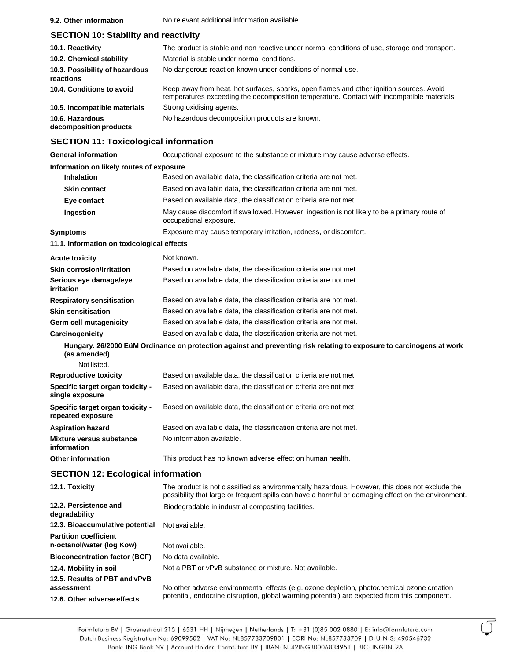| 9.2. Other information | No relevant |
|------------------------|-------------|
|                        |             |

**t** additional information available.

# **SECTION 10: Stability and reactivity**

| 10.1. Reactivity                            | The product is stable and non reactive under normal conditions of use, storage and transport.                                                                                          |
|---------------------------------------------|----------------------------------------------------------------------------------------------------------------------------------------------------------------------------------------|
| 10.2. Chemical stability                    | Material is stable under normal conditions.                                                                                                                                            |
| 10.3. Possibility of hazardous<br>reactions | No dangerous reaction known under conditions of normal use.                                                                                                                            |
| 10.4. Conditions to avoid                   | Keep away from heat, hot surfaces, sparks, open flames and other ignition sources. Avoid<br>temperatures exceeding the decomposition temperature. Contact with incompatible materials. |
| 10.5. Incompatible materials                | Strong oxidising agents.                                                                                                                                                               |
| 10.6. Hazardous<br>decomposition products   | No hazardous decomposition products are known.                                                                                                                                         |

# **SECTION 11: Toxicological information**

| <b>SLUTION TT. TOXICOIOGICAL IMOHIMATION</b>              |                                                                                                                                                                                                       |
|-----------------------------------------------------------|-------------------------------------------------------------------------------------------------------------------------------------------------------------------------------------------------------|
| <b>General information</b>                                | Occupational exposure to the substance or mixture may cause adverse effects.                                                                                                                          |
| Information on likely routes of exposure                  |                                                                                                                                                                                                       |
| <b>Inhalation</b>                                         | Based on available data, the classification criteria are not met.                                                                                                                                     |
| <b>Skin contact</b>                                       | Based on available data, the classification criteria are not met.                                                                                                                                     |
| Eye contact                                               | Based on available data, the classification criteria are not met.                                                                                                                                     |
| Ingestion                                                 | May cause discomfort if swallowed. However, ingestion is not likely to be a primary route of<br>occupational exposure.                                                                                |
| <b>Symptoms</b>                                           | Exposure may cause temporary irritation, redness, or discomfort.                                                                                                                                      |
| 11.1. Information on toxicological effects                |                                                                                                                                                                                                       |
| <b>Acute toxicity</b>                                     | Not known.                                                                                                                                                                                            |
| <b>Skin corrosion/irritation</b>                          | Based on available data, the classification criteria are not met.                                                                                                                                     |
| Serious eye damage/eye<br>irritation                      | Based on available data, the classification criteria are not met.                                                                                                                                     |
| <b>Respiratory sensitisation</b>                          | Based on available data, the classification criteria are not met.                                                                                                                                     |
| <b>Skin sensitisation</b>                                 | Based on available data, the classification criteria are not met.                                                                                                                                     |
| Germ cell mutagenicity                                    | Based on available data, the classification criteria are not met.                                                                                                                                     |
| Carcinogenicity                                           | Based on available data, the classification criteria are not met.                                                                                                                                     |
| (as amended)                                              | Hungary. 26/2000 EüM Ordinance on protection against and preventing risk relating to exposure to carcinogens at work                                                                                  |
| Not listed.                                               |                                                                                                                                                                                                       |
| <b>Reproductive toxicity</b>                              | Based on available data, the classification criteria are not met.                                                                                                                                     |
| Specific target organ toxicity -<br>single exposure       | Based on available data, the classification criteria are not met.                                                                                                                                     |
| Specific target organ toxicity -<br>repeated exposure     | Based on available data, the classification criteria are not met.                                                                                                                                     |
| <b>Aspiration hazard</b>                                  | Based on available data, the classification criteria are not met.                                                                                                                                     |
| <b>Mixture versus substance</b><br>information            | No information available.                                                                                                                                                                             |
| <b>Other information</b>                                  | This product has no known adverse effect on human health.                                                                                                                                             |
| <b>SECTION 12: Ecological information</b>                 |                                                                                                                                                                                                       |
| 12.1. Toxicity                                            | The product is not classified as environmentally hazardous. However, this does not exclude the<br>possibility that large or frequent spills can have a harmful or damaging effect on the environment. |
| 12.2. Persistence and<br>degradability                    | Biodegradable in industrial composting facilities.                                                                                                                                                    |
| 12.3. Bioaccumulative potential                           | Not available.                                                                                                                                                                                        |
| <b>Partition coefficient</b><br>n-octanol/water (log Kow) | Not available.                                                                                                                                                                                        |
| <b>Bioconcentration factor (BCF)</b>                      | No data available.                                                                                                                                                                                    |
| 12.4. Mobility in soil                                    | Not a PBT or vPvB substance or mixture. Not available.                                                                                                                                                |
| 12.5. Results of PBT and vPvB<br>assessment               | No other adverse environmental effects (e.g. ozone depletion, photochemical ozone creation                                                                                                            |

**12.6. Other adverse effects**

No other adverse environmental effects (e.g. ozone depletion, photochemical ozone creation potential, endocrine disruption, global warming potential) are expected from this component.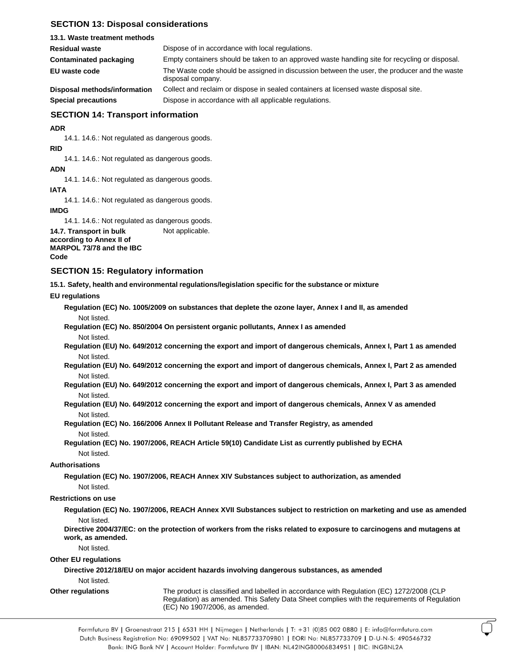# **SECTION 13: Disposal considerations**

| 13.1. Waste treatment methods |                                                                                                                   |
|-------------------------------|-------------------------------------------------------------------------------------------------------------------|
| <b>Residual waste</b>         | Dispose of in accordance with local regulations.                                                                  |
| Contaminated packaging        | Empty containers should be taken to an approved waste handling site for recycling or disposal.                    |
| EU waste code                 | The Waste code should be assigned in discussion between the user, the producer and the waste<br>disposal company. |
| Disposal methods/information  | Collect and reclaim or dispose in sealed containers at licensed waste disposal site.                              |
| <b>Special precautions</b>    | Dispose in accordance with all applicable regulations.                                                            |

## **SECTION 14: Transport information**

**ADR**

14.1. 14.6.: Not regulated as dangerous goods.

**RID**

14.1. 14.6.: Not regulated as dangerous goods.

**ADN**

14.1. 14.6.: Not regulated as dangerous goods.

**IATA**

14.1. 14.6.: Not regulated as dangerous goods.

**IMDG**

14.1. 14.6.: Not regulated as dangerous goods.

**14.7. Transport in bulk according to Annex II of MARPOL 73/78 and the IBC Code**

# **SECTION 15: Regulatory information**

**15.1. Safety, health and environmental regulations/legislation specific for the substance or mixture** 

Not applicable.

### **EU regulations**

**Regulation (EC) No. 1005/2009 on substances that deplete the ozone layer, Annex I and II, as amended** Not listed.

**Regulation (EC) No. 850/2004 On persistent organic pollutants, Annex I as amended** Not listed.

**Regulation (EU) No. 649/2012 concerning the export and import of dangerous chemicals, Annex I, Part 1 as amended** Not listed.

**Regulation (EU) No. 649/2012 concerning the export and import of dangerous chemicals, Annex I, Part 2 as amended** Not listed.

**Regulation (EU) No. 649/2012 concerning the export and import of dangerous chemicals, Annex I, Part 3 as amended** Not listed.

**Regulation (EU) No. 649/2012 concerning the export and import of dangerous chemicals, Annex V as amended** Not listed.

**Regulation (EC) No. 166/2006 Annex II Pollutant Release and Transfer Registry, as amended** Not listed.

**Regulation (EC) No. 1907/2006, REACH Article 59(10) Candidate List as currently published by ECHA** Not listed.

### **Authorisations**

**Regulation (EC) No. 1907/2006, REACH Annex XIV Substances subject to authorization, as amended** Not listed.

### **Restrictions on use**

**Regulation (EC) No. 1907/2006, REACH Annex XVII Substances subject to restriction on marketing and use as amended** Not listed.

**Directive 2004/37/EC: on the protection of workers from the risks related to exposure to carcinogens and mutagens at work, as amended.**

Not listed.

### **Other EU regulations**

**Directive 2012/18/EU on major accident hazards involving dangerous substances, as amended** Not listed.

**Other regulations** The product is classified and labelled in accordance with Regulation (EC) 1272/2008 (CLP Regulation) as amended. This Safety Data Sheet complies with the requirements of Regulation (EC) No 1907/2006, as amended.